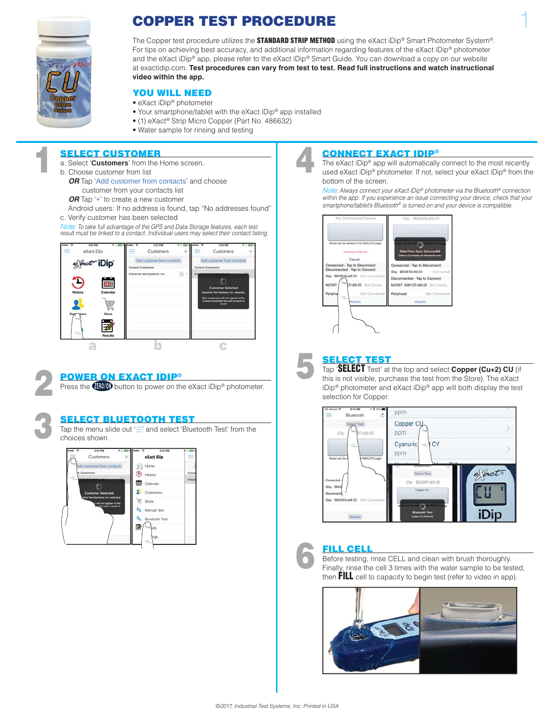

## COPPER TEST PROCEDURE

The Copper test procedure utilizes the **STANDARD STRIP METHOD** using the eXact iDip® Smart Photometer System®. For tips on achieving best accuracy, and additional information regarding features of the eXact iDip® photometer and the eXact iDip® app, please refer to the eXact iDip® Smart Guide. You can download a copy on our website at exactidip.com. **Test procedures can vary from test to test. Read full instructions and watch instructional video within the app.**

## YOU WILL NEED

- eXact iDip® photometer
- Your smartphone/tablet with the eXact iDip® app installed
- (1) eXact® Strip Micro Copper (Part No. 486632)
- Water sample for rinsing and testing

## **SELECT CUSTOMER**

- a. Select '**Customers**' from the Home screen.
- b. Choose customer from list
	- **OR** Tap 'Add customer from contacts' and choose customer from your contacts list
	- *OR* Tap '+' to create a new customer
- Android users: If no address is found, tap "No addresses found"
- c. Verify customer has been selected

*Note: To take full advantage of the GPS and Data Storage features, each test result must be linked to a contact. Individual users may select their contact listing.*





**POWER ON EXACT IDIP®**<br>Press the **4900** button to power on the Press the **divily** button to power on the eXact iDip<sup>®</sup> photometer.

SELECT BLUETOOTH TEST<br>Tap the menu slide out ' $\equiv$ ' and select 'Blue<br>choices shown. Tap the menu slide out  $\equiv$  and select 'Bluetooth Test' from the choices shown.



## CONNECT EXACT IDIP®

The eXact iDip® app will automatically connect to the most recently used eXact iDip® photometer. If not, select your eXact iDip® from the bottom of the screen.

1

*Note: Always connect your eXact iDip® photometer via the Bluetooth® connection within the app. If you experience an issue connecting your device, check that your smartphone/tablet's Bluetooth® is turned on and your device is compatible.*





**SELECT TEST**<br>Tap **SELECT** Test' at t<br>this is not visible, purcl Tap 'SELECT Test' at the top and select **Copper (Cu+2) CU** (if this is not visible, purchase the test from the Store). The eXact iDip® photometer and eXact iDip® app will both display the test selection for Copper.



**FILL CELL**<br>Before testing, rin<br>Finally, rinse the Before testing, rinse CELL and clean with brush thoroughly. Finally, rinse the cell 3 times with the water sample to be tested, then FILL cell to capacity to begin test (refer to video in app).